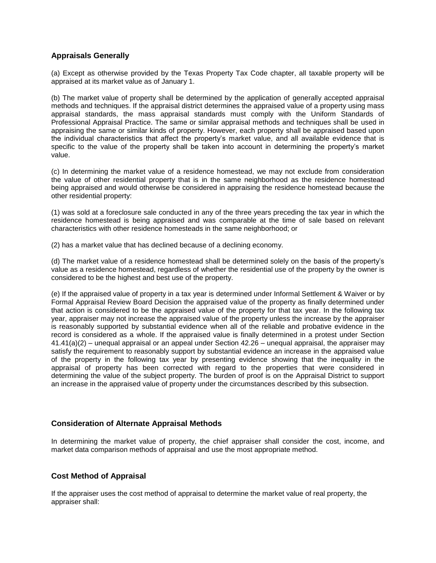# **Appraisals Generally**

(a) Except as otherwise provided by the Texas Property Tax Code chapter, all taxable property will be appraised at its market value as of January 1.

(b) The market value of property shall be determined by the application of generally accepted appraisal methods and techniques. If the appraisal district determines the appraised value of a property using mass appraisal standards, the mass appraisal standards must comply with the Uniform Standards of Professional Appraisal Practice. The same or similar appraisal methods and techniques shall be used in appraising the same or similar kinds of property. However, each property shall be appraised based upon the individual characteristics that affect the property's market value, and all available evidence that is specific to the value of the property shall be taken into account in determining the property's market value.

(c) In determining the market value of a residence homestead, we may not exclude from consideration the value of other residential property that is in the same neighborhood as the residence homestead being appraised and would otherwise be considered in appraising the residence homestead because the other residential property:

(1) was sold at a foreclosure sale conducted in any of the three years preceding the tax year in which the residence homestead is being appraised and was comparable at the time of sale based on relevant characteristics with other residence homesteads in the same neighborhood; or

(2) has a market value that has declined because of a declining economy.

(d) The market value of a residence homestead shall be determined solely on the basis of the property's value as a residence homestead, regardless of whether the residential use of the property by the owner is considered to be the highest and best use of the property.

(e) If the appraised value of property in a tax year is determined under Informal Settlement & Waiver or by Formal Appraisal Review Board Decision the appraised value of the property as finally determined under that action is considered to be the appraised value of the property for that tax year. In the following tax year, appraiser may not increase the appraised value of the property unless the increase by the appraiser is reasonably supported by substantial evidence when all of the reliable and probative evidence in the record is considered as a whole. If the appraised value is finally determined in a protest under Section 41.41(a)(2) – unequal appraisal or an appeal under Section 42.26 – unequal appraisal, the appraiser may satisfy the requirement to reasonably support by substantial evidence an increase in the appraised value of the property in the following tax year by presenting evidence showing that the inequality in the appraisal of property has been corrected with regard to the properties that were considered in determining the value of the subject property. The burden of proof is on the Appraisal District to support an increase in the appraised value of property under the circumstances described by this subsection.

## **Consideration of Alternate Appraisal Methods**

In determining the market value of property, the chief appraiser shall consider the cost, income, and market data comparison methods of appraisal and use the most appropriate method.

## **Cost Method of Appraisal**

If the appraiser uses the cost method of appraisal to determine the market value of real property, the appraiser shall: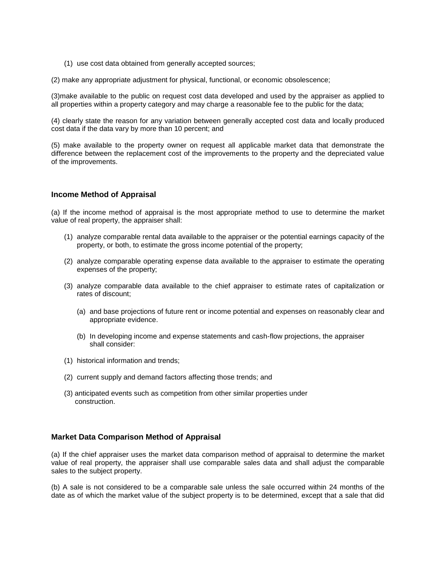(1) use cost data obtained from generally accepted sources;

(2) make any appropriate adjustment for physical, functional, or economic obsolescence;

(3)make available to the public on request cost data developed and used by the appraiser as applied to all properties within a property category and may charge a reasonable fee to the public for the data;

(4) clearly state the reason for any variation between generally accepted cost data and locally produced cost data if the data vary by more than 10 percent; and

(5) make available to the property owner on request all applicable market data that demonstrate the difference between the replacement cost of the improvements to the property and the depreciated value of the improvements.

### **Income Method of Appraisal**

(a) If the income method of appraisal is the most appropriate method to use to determine the market value of real property, the appraiser shall:

- (1) analyze comparable rental data available to the appraiser or the potential earnings capacity of the property, or both, to estimate the gross income potential of the property;
- (2) analyze comparable operating expense data available to the appraiser to estimate the operating expenses of the property;
- (3) analyze comparable data available to the chief appraiser to estimate rates of capitalization or rates of discount;
	- (a) and base projections of future rent or income potential and expenses on reasonably clear and appropriate evidence.
	- (b) In developing income and expense statements and cash-flow projections, the appraiser shall consider:
- (1) historical information and trends;
- (2) current supply and demand factors affecting those trends; and
- (3) anticipated events such as competition from other similar properties under construction.

#### **Market Data Comparison Method of Appraisal**

(a) If the chief appraiser uses the market data comparison method of appraisal to determine the market value of real property, the appraiser shall use comparable sales data and shall adjust the comparable sales to the subject property.

(b) A sale is not considered to be a comparable sale unless the sale occurred within 24 months of the date as of which the market value of the subject property is to be determined, except that a sale that did